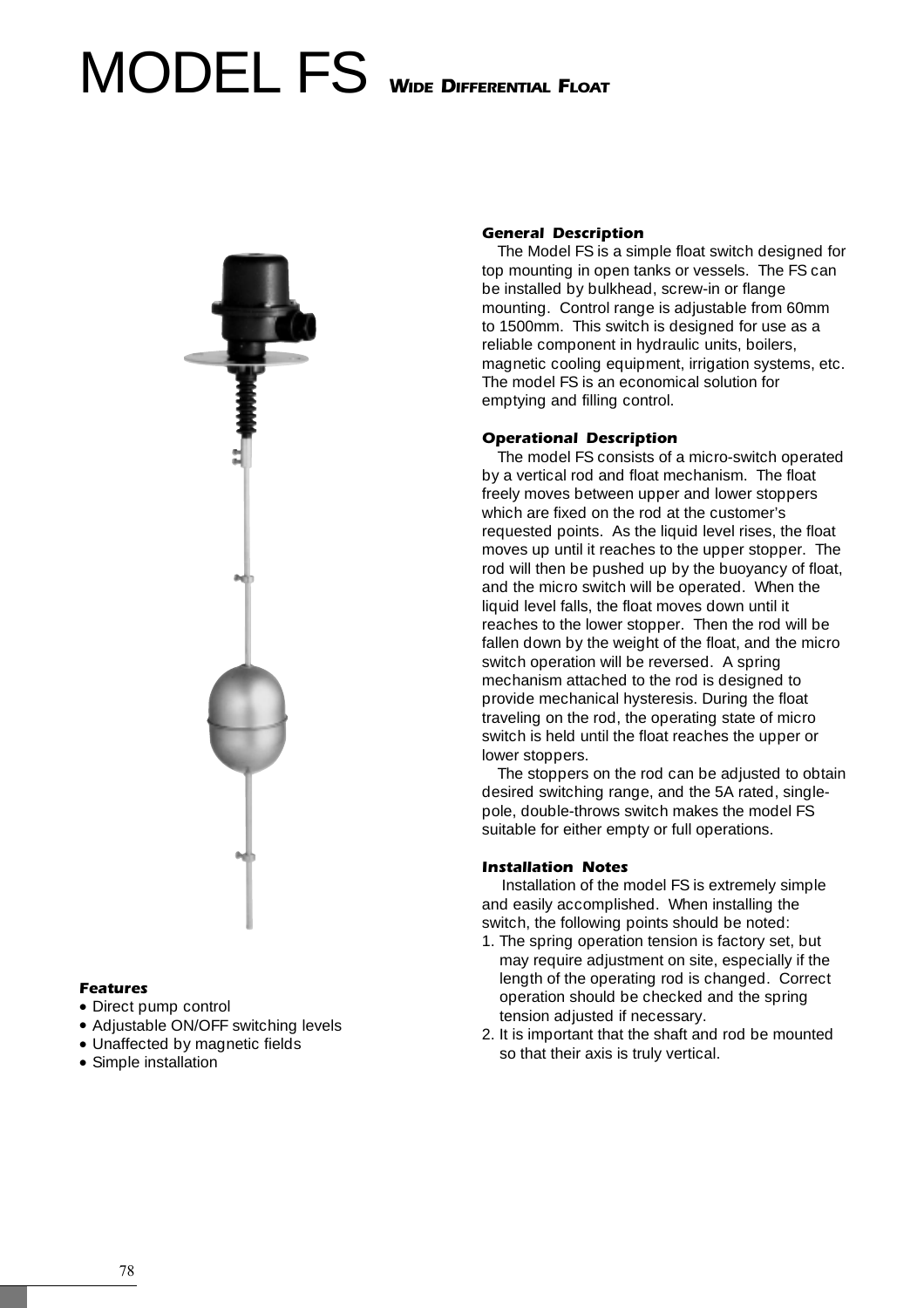# MODEL FS **WIDE DIFFERENTIAL FLOAT**



## **Features**

- Direct pump control
- •Adjustable ON/OFF switching levels
- Unaffected by magnetic fields
- Simple installation

#### **General Description**

The Model FS is a simple float switch designed for top mounting in open tanks or vessels. The FS can be installed by bulkhead, screw-in or flange mounting. Control range is adjustable from 60mm to 1500mm. This switch is designed for use as a reliable component in hydraulic units, boilers, magnetic cooling equipment, irrigation systems, etc. The model FS is an economical solution for emptying and filling control.

#### **Operational Description**

The model FS consists of a micro-switch operated by a vertical rod and float mechanism. The float freely moves between upper and lower stoppers which are fixed on the rod at the customer's requested points. As the liquid level rises, the float moves up until it reaches to the upper stopper. The rod will then be pushed up by the buoyancy of float, and the micro switch will be operated. When the liquid level falls, the float moves down until it reaches to the lower stopper. Then the rod will be fallen down by the weight of the float, and the micro switch operation will be reversed. A spring mechanism attached to the rod is designed to provide mechanical hysteresis. During the float traveling on the rod, the operating state of micro switch is held until the float reaches the upper or lower stoppers.

The stoppers on the rod can be adjusted to obtain desired switching range, and the 5A rated, singlepole, double-throws switch makes the model FS suitable for either empty or full operations.

#### **Installation Notes**

Installation of the model FS is extremely simple and easily accomplished. When installing the switch, the following points should be noted:

- 1. The spring operation tension is factory set, but may require adjustment on site, especially if the length of the operating rod is changed. Correct operation should be checked and the spring tension adjusted if necessary.
- 2. It is important that the shaft and rod be mounted so that their axis is truly vertical.